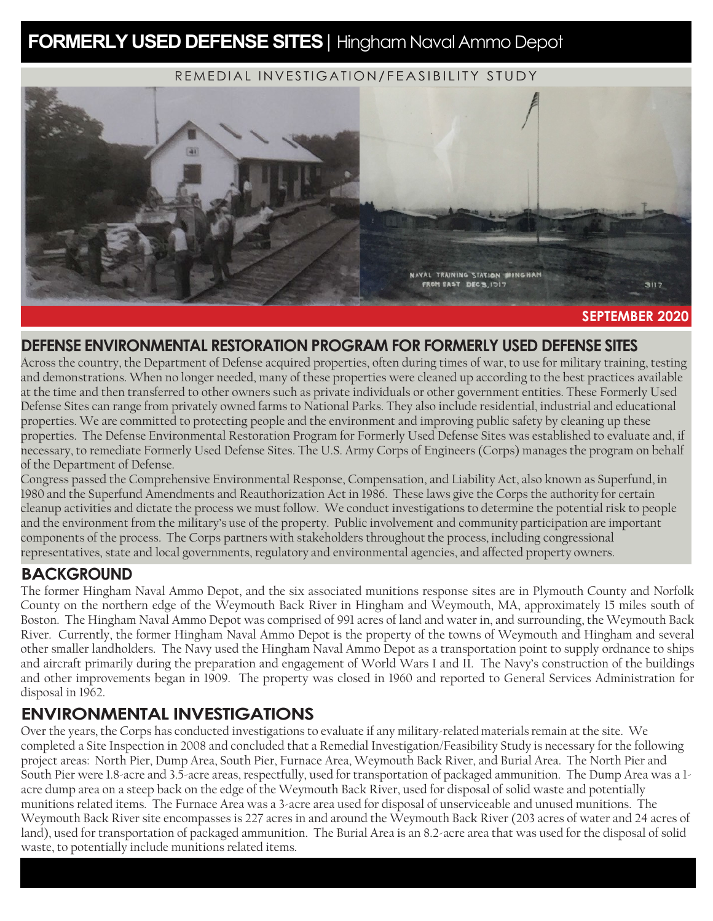# **FORMERLY USED DEFENSE SITES** | Hingham Naval Ammo Depot

REMEDIAL INVESTIGATION/FEASIBILITY STUDY



#### **SEPTEMBER 2020**

## **DEFENSE ENVIRONMENTAL RESTORATION PROGRAM FOR FORMERLY USED DEFENSE SITES**

Across the country, the Department of Defense acquired properties, often during times of war, to use for military training, testing and demonstrations. When no longer needed, many of these properties were cleaned up according to the best practices available at the time and then transferred to other owners such as private individuals or other government entities. These Formerly Used Defense Sites can range from privately owned farms to National Parks. They also include residential, industrial and educational properties. We are committed to protecting people and the environment and improving public safety by cleaning up these properties. The Defense Environmental Restoration Program for Formerly Used Defense Sites was established to evaluate and, if necessary, to remediate Formerly Used Defense Sites. The U.S. Army Corps of Engineers (Corps) manages the program on behalf of the Department of Defense.

Congress passed the Comprehensive Environmental Response, Compensation, and Liability Act, also known as Superfund, in 1980 and the Superfund Amendments and Reauthorization Act in 1986. These laws give the Corps the authority for certain cleanup activities and dictate the process we must follow. We conduct investigations to determine the potential risk to people and the environment from the military's use of the property. Public involvement and community participation are important components of the process. The Corps partners with stakeholders throughout the process, including congressional representatives, state and local governments, regulatory and environmental agencies, and affected property owners.

### **BACKGROUND**

The former Hingham Naval Ammo Depot, and the six associated munitions response sites are in Plymouth County and Norfolk County on the northern edge of the Weymouth Back River in Hingham and Weymouth, MA, approximately 15 miles south of Boston. The Hingham Naval Ammo Depot was comprised of 991 acres of land and water in, and surrounding, the Weymouth Back River. Currently, the former Hingham Naval Ammo Depot is the property of the towns of Weymouth and Hingham and several other smaller landholders. The Navy used the Hingham Naval Ammo Depot as a transportation point to supply ordnance to ships and aircraft primarily during the preparation and engagement of World Wars I and II. The Navy's construction of the buildings and other improvements began in 1909. The property was closed in 1960 and reported to General Services Administration for disposal in 1962.

## **ENVIRONMENTAL INVESTIGATIONS**

Over the years, the Corps has conducted investigations to evaluate if any military-related materials remain at the site. We completed a Site Inspection in 2008 and concluded that a Remedial Investigation/Feasibility Study is necessary for the following project areas: North Pier, Dump Area, South Pier, Furnace Area, Weymouth Back River, and Burial Area. The North Pier and South Pier were 1.8-acre and 3.5-acre areas, respectfully, used for transportation of packaged ammunition. The Dump Area was a 1 acre dump area on a steep back on the edge of the Weymouth Back River, used for disposal of solid waste and potentially munitions related items. The Furnace Area was a 3-acre area used for disposal of unserviceable and unused munitions. The Weymouth Back River site encompasses is 227 acres in and around the Weymouth Back River (203 acres of water and 24 acres of land), used for transportation of packaged ammunition. The Burial Area is an 8.2-acre area that was used for the disposal of solid waste, to potentially include munitions related items.